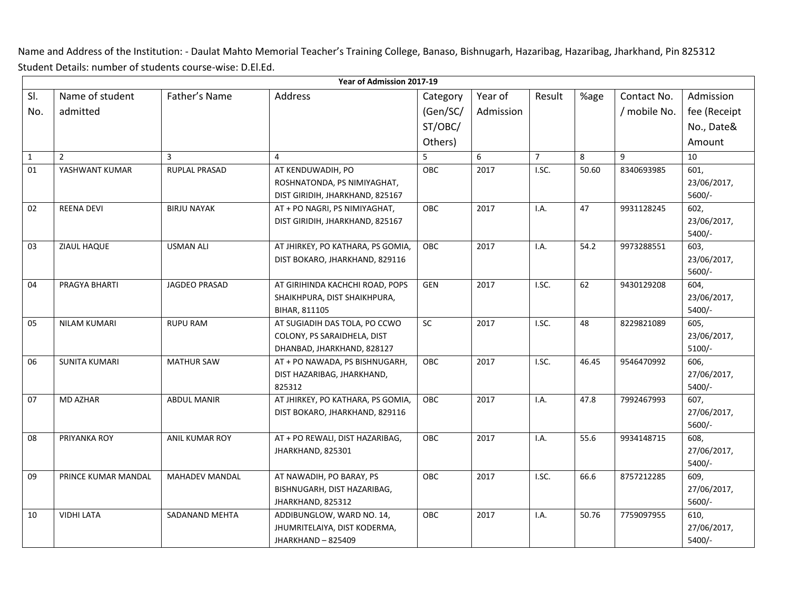Name and Address of the Institution: - Daulat Mahto Memorial Teacher's Training College, Banaso, Bishnugarh, Hazaribag, Hazaribag, Jharkhand, Pin 825312 Student Details: number of students course-wise: D.El.Ed.

|              | Year of Admission 2017-19 |                       |                                      |            |           |                         |       |              |                     |
|--------------|---------------------------|-----------------------|--------------------------------------|------------|-----------|-------------------------|-------|--------------|---------------------|
| SI.          | Name of student           | Father's Name         | Address                              | Category   | Year of   | Result                  | %age  | Contact No.  | Admission           |
| No.          | admitted                  |                       |                                      | (Gen/SC/   | Admission |                         |       | / mobile No. | fee (Receipt        |
|              |                           |                       |                                      | ST/OBC/    |           |                         |       |              | No., Date&          |
|              |                           |                       |                                      | Others)    |           |                         |       |              | Amount              |
| $\mathbf{1}$ | $\overline{2}$            | 3                     | $\overline{4}$                       | 5          | 6         | $\overline{7}$          | 8     | 9            | 10                  |
| 01           | YASHWANT KUMAR            | RUPLAL PRASAD         | AT KENDUWADIH, PO                    | OBC        | 2017      | I.SC.                   | 50.60 | 8340693985   | 601,                |
|              |                           |                       | ROSHNATONDA, PS NIMIYAGHAT,          |            |           |                         |       |              | 23/06/2017,         |
|              |                           |                       | DIST GIRIDIH, JHARKHAND, 825167      |            |           |                         |       |              | 5600/-              |
| 02           | <b>REENA DEVI</b>         | <b>BIRJU NAYAK</b>    | AT + PO NAGRI, PS NIMIYAGHAT,        | OBC        | 2017      | <b>I.A.</b>             | 47    | 9931128245   | 602,                |
|              |                           |                       | DIST GIRIDIH, JHARKHAND, 825167      |            |           |                         |       |              | 23/06/2017,         |
|              |                           |                       |                                      |            |           |                         |       |              | 5400/-              |
| 03           | ZIAUL HAQUE               | <b>USMAN ALI</b>      | AT JHIRKEY, PO KATHARA, PS GOMIA,    | OBC        | 2017      | I.A.                    | 54.2  | 9973288551   | 603,                |
|              |                           |                       | DIST BOKARO, JHARKHAND, 829116       |            |           |                         |       |              | 23/06/2017,         |
|              |                           |                       |                                      |            |           |                         |       |              | 5600/-              |
| 04           | PRAGYA BHARTI             | JAGDEO PRASAD         | AT GIRIHINDA KACHCHI ROAD, POPS      | <b>GEN</b> | 2017      | I.SC.                   | 62    | 9430129208   | 604,                |
|              |                           |                       | SHAIKHPURA, DIST SHAIKHPURA,         |            |           |                         |       |              | 23/06/2017,         |
|              |                           |                       | BIHAR, 811105                        |            |           |                         |       |              | $5400/-$            |
| 05           | <b>NILAM KUMARI</b>       | <b>RUPU RAM</b>       | AT SUGIADIH DAS TOLA, PO CCWO        | SC         | 2017      | I.SC.                   | 48    | 8229821089   | 605,                |
|              |                           |                       | COLONY, PS SARAIDHELA, DIST          |            |           |                         |       |              | 23/06/2017,         |
|              |                           |                       | DHANBAD, JHARKHAND, 828127           |            |           | I.SC.                   |       |              | $5100/-$            |
| 06           | <b>SUNITA KUMARI</b>      | <b>MATHUR SAW</b>     | AT + PO NAWADA, PS BISHNUGARH,       | OBC        | 2017      |                         | 46.45 | 9546470992   | 606,<br>27/06/2017, |
|              |                           |                       | DIST HAZARIBAG, JHARKHAND,<br>825312 |            |           |                         |       |              | 5400/-              |
| 07           | <b>MD AZHAR</b>           | <b>ABDUL MANIR</b>    | AT JHIRKEY, PO KATHARA, PS GOMIA,    | OBC        | 2017      | I.A.                    | 47.8  | 7992467993   | 607,                |
|              |                           |                       | DIST BOKARO, JHARKHAND, 829116       |            |           |                         |       |              | 27/06/2017,         |
|              |                           |                       |                                      |            |           |                         |       |              | 5600/-              |
| 08           | PRIYANKA ROY              | <b>ANIL KUMAR ROY</b> | AT + PO REWALI, DIST HAZARIBAG,      | <b>OBC</b> | 2017      | I.A.                    | 55.6  | 9934148715   | 608,                |
|              |                           |                       | JHARKHAND, 825301                    |            |           |                         |       |              | 27/06/2017,         |
|              |                           |                       |                                      |            |           |                         |       |              | 5400/-              |
| 09           | PRINCE KUMAR MANDAL       | <b>MAHADEV MANDAL</b> | AT NAWADIH, PO BARAY, PS             | <b>OBC</b> | 2017      | $\overline{\text{LSC}}$ | 66.6  | 8757212285   | 609,                |
|              |                           |                       | BISHNUGARH, DIST HAZARIBAG,          |            |           |                         |       |              | 27/06/2017,         |
|              |                           |                       | JHARKHAND, 825312                    |            |           |                         |       |              | 5600/-              |
| 10           | <b>VIDHI LATA</b>         | SADANAND MEHTA        | ADDIBUNGLOW, WARD NO. 14,            | OBC        | 2017      | I.A.                    | 50.76 | 7759097955   | 610,                |
|              |                           |                       | JHUMRITELAIYA, DIST KODERMA,         |            |           |                         |       |              | 27/06/2017,         |
|              |                           |                       | JHARKHAND-825409                     |            |           |                         |       |              | 5400/-              |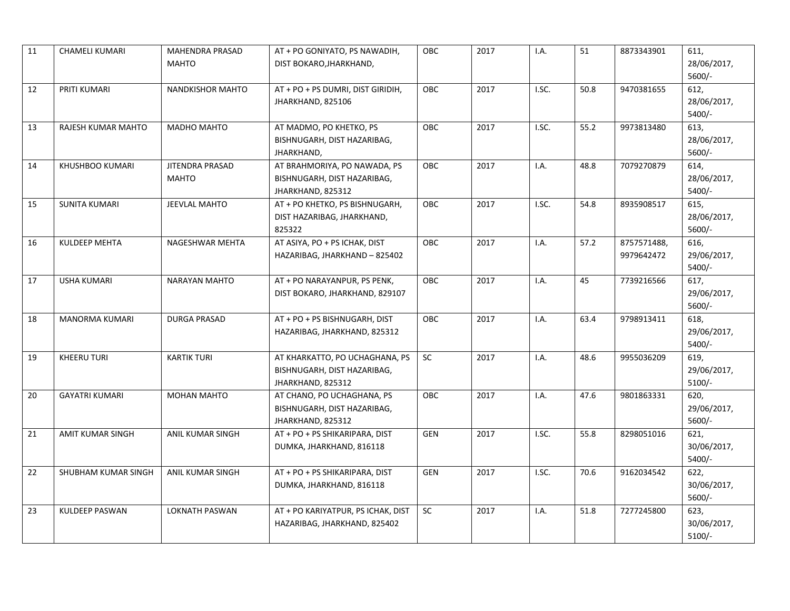| 11 | <b>CHAMELI KUMARI</b>   | <b>MAHENDRA PRASAD</b>  | AT + PO GONIYATO, PS NAWADIH,      | OBC        | 2017 | I.A.                    | 51   | 8873343901  | 611,        |
|----|-------------------------|-------------------------|------------------------------------|------------|------|-------------------------|------|-------------|-------------|
|    |                         | <b>MAHTO</b>            | DIST BOKARO, JHARKHAND,            |            |      |                         |      |             | 28/06/2017, |
|    |                         |                         |                                    |            |      |                         |      |             | 5600/-      |
| 12 | PRITI KUMARI            | <b>NANDKISHOR MAHTO</b> | AT + PO + PS DUMRI, DIST GIRIDIH,  | OE         | 2017 | $\overline{\text{LSC}}$ | 50.8 | 9470381655  | 612,        |
|    |                         |                         | JHARKHAND, 825106                  |            |      |                         |      |             | 28/06/2017, |
|    |                         |                         |                                    |            |      |                         |      |             | 5400/-      |
| 13 | RAJESH KUMAR MAHTO      | MADHO MAHTO             | AT MADMO, PO KHETKO, PS            | OBC        | 2017 | I.SC.                   | 55.2 | 9973813480  | 613,        |
|    |                         |                         | BISHNUGARH, DIST HAZARIBAG,        |            |      |                         |      |             | 28/06/2017, |
|    |                         |                         | JHARKHAND,                         |            |      |                         |      |             | 5600/-      |
| 14 | KHUSHBOO KUMARI         | <b>JITENDRA PRASAD</b>  | AT BRAHMORIYA, PO NAWADA, PS       | OBC        | 2017 | I.A.                    | 48.8 | 7079270879  | 614,        |
|    |                         | <b>MAHTO</b>            | BISHNUGARH, DIST HAZARIBAG,        |            |      |                         |      |             | 28/06/2017, |
|    |                         |                         | JHARKHAND, 825312                  |            |      |                         |      |             | 5400/-      |
| 15 | <b>SUNITA KUMARI</b>    | JEEVLAL MAHTO           | AT + PO KHETKO, PS BISHNUGARH,     | <b>OBC</b> | 2017 | I.SC.                   | 54.8 | 8935908517  | 615,        |
|    |                         |                         | DIST HAZARIBAG, JHARKHAND,         |            |      |                         |      |             | 28/06/2017, |
|    |                         |                         | 825322                             |            |      |                         |      |             | 5600/-      |
| 16 | <b>KULDEEP MEHTA</b>    | NAGESHWAR MEHTA         | AT ASIYA, PO + PS ICHAK, DIST      | <b>OBC</b> | 2017 | I.A.                    | 57.2 | 8757571488, | 616,        |
|    |                         |                         | HAZARIBAG, JHARKHAND - 825402      |            |      |                         |      | 9979642472  | 29/06/2017, |
|    |                         |                         |                                    |            |      |                         |      |             | 5400/-      |
| 17 | <b>USHA KUMARI</b>      | <b>NARAYAN MAHTO</b>    | AT + PO NARAYANPUR, PS PENK,       | <b>OBC</b> | 2017 | I.A.                    | 45   | 7739216566  | 617,        |
|    |                         |                         | DIST BOKARO, JHARKHAND, 829107     |            |      |                         |      |             | 29/06/2017, |
|    |                         |                         |                                    |            |      |                         |      |             | 5600/-      |
| 18 | <b>MANORMA KUMARI</b>   | <b>DURGA PRASAD</b>     | AT + PO + PS BISHNUGARH, DIST      | <b>OBC</b> | 2017 | I.A.                    | 63.4 | 9798913411  | 618,        |
|    |                         |                         | HAZARIBAG, JHARKHAND, 825312       |            |      |                         |      |             | 29/06/2017, |
|    |                         |                         |                                    |            |      |                         |      |             | 5400/-      |
| 19 | <b>KHEERU TURI</b>      | <b>KARTIK TURI</b>      | AT KHARKATTO, PO UCHAGHANA, PS     | SC         | 2017 | I.A.                    | 48.6 | 9955036209  | 619,        |
|    |                         |                         | BISHNUGARH, DIST HAZARIBAG,        |            |      |                         |      |             | 29/06/2017, |
|    |                         |                         | JHARKHAND, 825312                  |            |      |                         |      |             | $5100/-$    |
| 20 | <b>GAYATRI KUMARI</b>   | <b>MOHAN MAHTO</b>      | AT CHANO, PO UCHAGHANA, PS         | <b>OBC</b> | 2017 | I.A.                    | 47.6 | 9801863331  | 620,        |
|    |                         |                         | BISHNUGARH, DIST HAZARIBAG,        |            |      |                         |      |             | 29/06/2017, |
|    |                         |                         | JHARKHAND, 825312                  |            |      |                         |      |             | 5600/-      |
| 21 | <b>AMIT KUMAR SINGH</b> | ANIL KUMAR SINGH        | AT + PO + PS SHIKARIPARA, DIST     | <b>GEN</b> | 2017 | $\overline{\text{LSC}}$ | 55.8 | 8298051016  | 621,        |
|    |                         |                         | DUMKA, JHARKHAND, 816118           |            |      |                         |      |             | 30/06/2017, |
|    |                         |                         |                                    |            |      |                         |      |             | 5400/-      |
| 22 | SHUBHAM KUMAR SINGH     | ANIL KUMAR SINGH        | AT + PO + PS SHIKARIPARA, DIST     | GEN        | 2017 | I.SC.                   | 70.6 | 9162034542  | 622,        |
|    |                         |                         | DUMKA, JHARKHAND, 816118           |            |      |                         |      |             | 30/06/2017, |
|    |                         |                         |                                    |            |      |                         |      |             | 5600/-      |
| 23 | <b>KULDEEP PASWAN</b>   | <b>LOKNATH PASWAN</b>   | AT + PO KARIYATPUR, PS ICHAK, DIST | <b>SC</b>  | 2017 | I.A.                    | 51.8 | 7277245800  | 623,        |
|    |                         |                         | HAZARIBAG, JHARKHAND, 825402       |            |      |                         |      |             | 30/06/2017, |
|    |                         |                         |                                    |            |      |                         |      |             | $5100/-$    |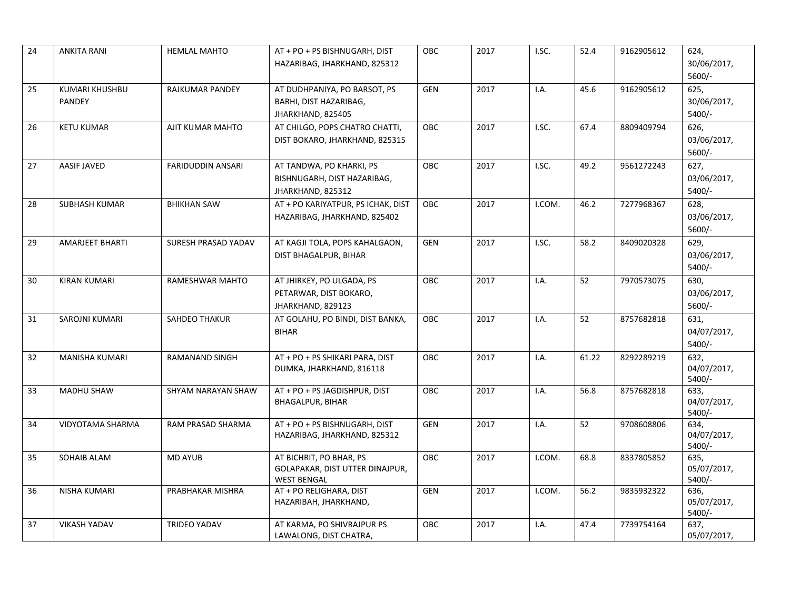| 24 | <b>ANKITA RANI</b>              | <b>HEMLAL MAHTO</b>      | AT + PO + PS BISHNUGARH, DIST<br>HAZARIBAG, JHARKHAND, 825312                    | <b>OBC</b> | 2017 | I.SC.  | 52.4  | 9162905612 | 624,<br>30/06/2017,<br>5600/-   |
|----|---------------------------------|--------------------------|----------------------------------------------------------------------------------|------------|------|--------|-------|------------|---------------------------------|
| 25 | KUMARI KHUSHBU<br><b>PANDEY</b> | <b>RAJKUMAR PANDEY</b>   | AT DUDHPANIYA, PO BARSOT, PS<br>BARHI, DIST HAZARIBAG,<br>JHARKHAND, 825405      | <b>GEN</b> | 2017 | I.A.   | 45.6  | 9162905612 | 625,<br>30/06/2017,<br>5400/-   |
| 26 | <b>KETU KUMAR</b>               | AJIT KUMAR MAHTO         | AT CHILGO, POPS CHATRO CHATTI,<br>DIST BOKARO, JHARKHAND, 825315                 | <b>OBC</b> | 2017 | I.SC.  | 67.4  | 8809409794 | 626,<br>03/06/2017,<br>5600/-   |
| 27 | AASIF JAVED                     | <b>FARIDUDDIN ANSARI</b> | AT TANDWA, PO KHARKI, PS<br>BISHNUGARH, DIST HAZARIBAG,<br>JHARKHAND, 825312     | OBC        | 2017 | I.SC.  | 49.2  | 9561272243 | 627,<br>03/06/2017,<br>5400/-   |
| 28 | <b>SUBHASH KUMAR</b>            | <b>BHIKHAN SAW</b>       | AT + PO KARIYATPUR, PS ICHAK, DIST<br>HAZARIBAG, JHARKHAND, 825402               | OBC        | 2017 | I.COM. | 46.2  | 7277968367 | 628,<br>03/06/2017,<br>5600/-   |
| 29 | <b>AMARJEET BHARTI</b>          | SURESH PRASAD YADAV      | AT KAGJI TOLA, POPS KAHALGAON,<br>DIST BHAGALPUR, BIHAR                          | <b>GEN</b> | 2017 | I.SC.  | 58.2  | 8409020328 | 629,<br>03/06/2017,<br>5400/-   |
| 30 | <b>KIRAN KUMARI</b>             | RAMESHWAR MAHTO          | AT JHIRKEY, PO ULGADA, PS<br>PETARWAR, DIST BOKARO,<br>JHARKHAND, 829123         | <b>OBC</b> | 2017 | I.A.   | 52    | 7970573075 | 630,<br>03/06/2017,<br>$5600/-$ |
| 31 | SAROJNI KUMARI                  | SAHDEO THAKUR            | AT GOLAHU, PO BINDI, DIST BANKA,<br><b>BIHAR</b>                                 | <b>OBC</b> | 2017 | I.A.   | 52    | 8757682818 | 631,<br>04/07/2017,<br>5400/-   |
| 32 | MANISHA KUMARI                  | RAMANAND SINGH           | AT + PO + PS SHIKARI PARA, DIST<br>DUMKA, JHARKHAND, 816118                      | OBC        | 2017 | I.A.   | 61.22 | 8292289219 | 632,<br>04/07/2017,<br>$5400/-$ |
| 33 | <b>MADHU SHAW</b>               | SHYAM NARAYAN SHAW       | AT + PO + PS JAGDISHPUR, DIST<br><b>BHAGALPUR, BIHAR</b>                         | <b>OBC</b> | 2017 | I.A.   | 56.8  | 8757682818 | 633,<br>04/07/2017,<br>$5400/-$ |
| 34 | VIDYOTAMA SHARMA                | RAM PRASAD SHARMA        | AT + PO + PS BISHNUGARH, DIST<br>HAZARIBAG, JHARKHAND, 825312                    | <b>GEN</b> | 2017 | I.A.   | 52    | 9708608806 | 634,<br>04/07/2017,<br>5400/-   |
| 35 | SOHAIB ALAM                     | <b>MD AYUB</b>           | AT BICHRIT, PO BHAR, PS<br>GOLAPAKAR, DIST UTTER DINAJPUR,<br><b>WEST BENGAL</b> | OBC        | 2017 | I.COM. | 68.8  | 8337805852 | 635,<br>05/07/2017,<br>$5400/-$ |
| 36 | <b>NISHA KUMARI</b>             | PRABHAKAR MISHRA         | AT + PO RELIGHARA, DIST<br>HAZARIBAH, JHARKHAND,                                 | <b>GEN</b> | 2017 | I.COM. | 56.2  | 9835932322 | 636.<br>05/07/2017,<br>$5400/-$ |
| 37 | <b>VIKASH YADAV</b>             | <b>TRIDEO YADAV</b>      | AT KARMA, PO SHIVRAJPUR PS<br>LAWALONG, DIST CHATRA,                             | <b>OBC</b> | 2017 | I.A.   | 47.4  | 7739754164 | 637,<br>05/07/2017,             |